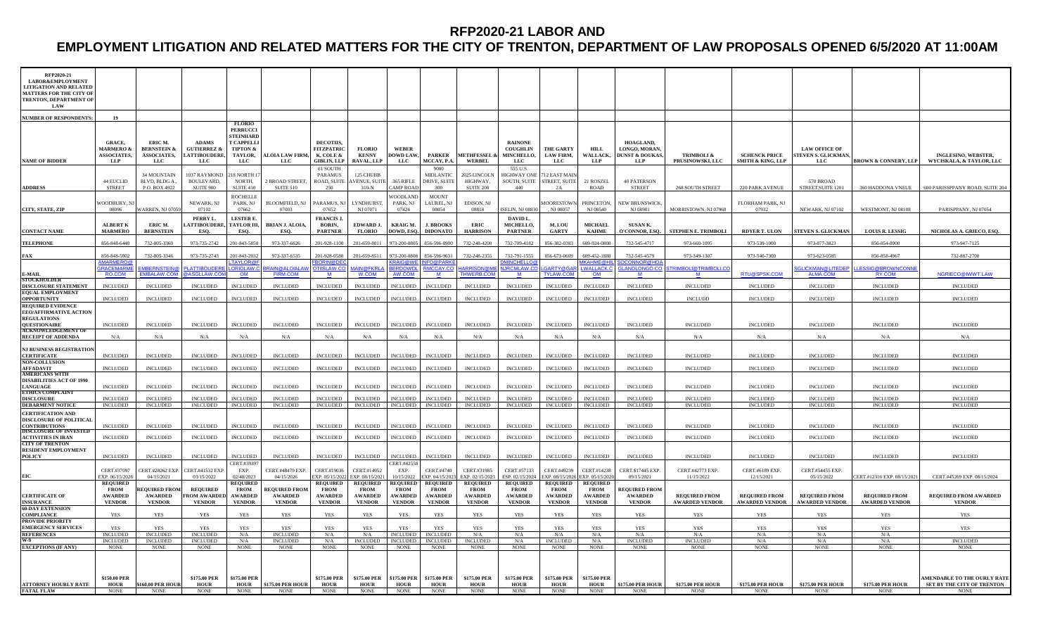## **RFP2020-21 LABOR AND**

# **EMPLOYMENT LITIGATION AND RELATED MATTERS FOR THE CITY OF TRENTON, DEPARTMENT OF LAW PROPOSALS OPENED 6/5/2020 AT 11:00AM**

| RFP2020-21<br><b>LABOR&amp;EMPLOYMENT</b><br><b>LITIGATION AND RELATED</b><br><b>MATTERS FOR THE CITY OI</b><br>TRENTON, DEPARTMENT OF<br><b>LAW</b> |                                                                   |                                                                 |                                                                       |                                                                                                                    |                                                         |                                                                        |                                                  |                                                |                                                |                                                  |                                                         |                                                  |                                                  |                                                                |                                               |                                                      |                                                          |                                               |                                                                   |
|------------------------------------------------------------------------------------------------------------------------------------------------------|-------------------------------------------------------------------|-----------------------------------------------------------------|-----------------------------------------------------------------------|--------------------------------------------------------------------------------------------------------------------|---------------------------------------------------------|------------------------------------------------------------------------|--------------------------------------------------|------------------------------------------------|------------------------------------------------|--------------------------------------------------|---------------------------------------------------------|--------------------------------------------------|--------------------------------------------------|----------------------------------------------------------------|-----------------------------------------------|------------------------------------------------------|----------------------------------------------------------|-----------------------------------------------|-------------------------------------------------------------------|
| <b>NUMBER OF RESPONDENTS</b>                                                                                                                         | 19                                                                |                                                                 |                                                                       |                                                                                                                    |                                                         |                                                                        |                                                  |                                                |                                                |                                                  |                                                         |                                                  |                                                  |                                                                |                                               |                                                      |                                                          |                                               |                                                                   |
| <b>NAME OF BIDDER</b>                                                                                                                                | <b>GRACE</b><br><b>MARMERO &amp;</b><br><b>ASSOCIATES,</b><br>LLP | ERIC M.<br><b>BERNSTEIN &amp;</b><br><b>ASSOCIATES,</b><br>LLC. | <b>ADAMS</b><br><b>GUTIERREZ &amp;</b><br><b>LATTIBOUDERE</b><br>LLC. | <b>FLORIO</b><br><b>PERRUCCI</b><br><b>STEINHAR</b><br>T CAPPELL<br><b>TIPTON &amp;</b><br>TAYLOR.<br>$_{\rm LLC}$ | <b>ALOIA LAW FIRM</b><br>LLC.                           | <b>DECOTHS</b><br><b>FITZPATRIC</b><br>K, COLE &<br><b>GIBLIN, LLP</b> | <b>FLORIO</b><br><b>KENNY</b><br>RAVAL, LLP      | <b>WEBER</b><br>DOWD LAW,<br>LLC               | <b>PARKER</b><br>MCCAY, P.A                    | <b>METHFESSEL</b><br><b>WERBEI</b>               | <b>RAINONE</b><br><b>COUGHLIN</b><br>MINCHELLO.<br>LLC. | <b>THE GARTY</b><br>LAW FIRM,<br>$_{LLC}$        | HILL.<br>WALLACK,<br>LLP                         | HOAGLAND.<br>LONGO, MORAN,<br><b>DUNST &amp; DOUKAS</b><br>LLP | <b>TRIMBOLI &amp;</b><br>PRUSINOWSKI, LLC     | <b>SCHENCK PRICE</b><br><b>SMITH &amp; KING, LLP</b> | <b>LAW OFFICE OF</b><br><b>STEVEN S. GLICKMAN</b><br>LLC | <b>BROWN &amp; CONNERY, LLP</b>               | <b>INGLESINO, WEBSTER,</b><br><b>WYCISKALA, &amp; TAYLOR, LLC</b> |
| <b>ADDRESS</b>                                                                                                                                       | 44 EUCLID<br><b>STREET</b>                                        | 34 MOUNTAIN<br>BLVD. BLDG A<br>P.O. BOX 4922                    | 1037 RAYMOND<br>BOULEVARD,<br>SUITE 900                               | 18 NORTH<br>NORTH.<br><b>SUITE 410</b>                                                                             | <b>BROAD STREET</b><br><b>SUITE 510</b>                 | 61 SOUTH<br>PARAMUS<br>ROAD, SUITE<br>250                              | 125 CHUBB<br><b>AVENUE, SUIT</b><br>$310-N$      | 365 RIELE<br>AMP ROAL                          | 9000<br>MIDLANTIC<br>DRIVE, SUITE<br>300       | 2025 LINCOLN<br>HIGHWAY.<br><b>SUITE 200</b>     | 555 U.S<br><b>HIGHWAY ON</b><br>SOUTH, SUITE<br>440     | 2 EAST MAIN<br><b>STREET, SUITE</b><br>2A        | 21 ROSZEI<br><b>ROAD</b>                         | <b>40 PATERSON</b><br><b>STREET</b>                            | 268 SOUTH STREET                              | 220 PARK AVENUE                                      | $570$ BROAD<br>STREET.SUITE 1201                         | 360 HADDONA VNEUE                             | 600 PARISSPPANY ROAD, SUITE 204                                   |
| CITY, STATE, ZIP                                                                                                                                     | <b>VOODBURY, N</b><br>08096                                       | ARREN, NJ 070:                                                  | <b>NEWARK, NJ</b><br>07102                                            | <b>ROCHELLI</b><br>PARK, NJ<br>07662                                                                               | <b>BLOOMFIELD, N.</b><br>07003                          | ARAMUS, N<br>07652                                                     | <b>LYNDHURST</b><br>NI 07071                     | <b>/OODLANI</b><br>PARK, NJ<br>07424           | <b>MOUNT</b><br>LAUREL, NJ<br>08054            | EDISON, NJ<br>08818                              | <b>SELIN, NJ 0883</b>                                   | <b>IOORESTOWN</b><br>NJ 08057                    | <b>PRINCETON</b><br>NJ 08540                     | <b>NEW BRUNSWICK</b><br>NI 08901                               | MORRISTOWN, NJ 07960                          | <b>FLORHAM PARK, NJ</b><br>07932                     | NEWARK, NJ 07102                                         | WESTMONT, NJ 08108                            | PARISPPANY, NJ 07054                                              |
| <b>CONTACT NAME</b>                                                                                                                                  | <b>ALBERT K</b><br><b>MARMERO</b>                                 | ERIC M.<br><b>BERNSTEIN</b>                                     | PERRY L<br><b>ATTIBOUDERE</b><br>ESO.                                 | <b>LESTER E</b><br>TAYLOR III.<br>ESO.                                                                             | <b>BRIAN J. ALOIA</b><br>ESO.                           | <b>FRANCIS</b> .<br><b>BORIN,</b><br><b>PARTNER</b>                    | EDWARD J.<br><b>FLORIO</b>                       | KRAIG M.<br>DOWD. ESO                          | <b>J. BROOKS</b><br><b>DIDONATO</b>            | <b>ERIC</b><br><b>HARRISON</b>                   | DAVID L<br>MICHELLO,<br><b>PARTNER</b>                  | M. LOU<br><b>GARTY</b>                           | <b>MICHAEL</b><br><b>KAHME</b>                   | SUSAN K.<br>O'CONNOR, ESO.                                     | <b>STEPHEN E. TRIMBOLI</b>                    | <b>RDYER T. ULON</b>                                 | <b>STEVEN S. GLICKMAN</b>                                | <b>LOUIS R. LESSIG</b>                        | <b>NICHOLAS A. GRIECO, ESO</b>                                    |
| <b>TELEPHONE</b>                                                                                                                                     | 856-848-6440                                                      | 732-805-3360                                                    | 973-735-2742                                                          | 201-843-5858                                                                                                       | 973-337-6626                                            | 201-928-1100                                                           | 201-659-8011                                     | 973-200-0805                                   | 856-596-8900                                   | 732-248-4200                                     | 732-709-4182                                            | 856-382-0383                                     | 609-924-0808                                     | 732-545-4717                                                   | 973-660-1095                                  | 973-539-1000                                         | 973-877-3823                                             | 856-854-8900                                  | 973-947-7125                                                      |
| FAX                                                                                                                                                  | 856-848-5003                                                      | 732-805-3346                                                    | 973-735-2743                                                          | 01-843-203                                                                                                         | 973-337-6535                                            | 01-928-058                                                             | 201-659-851                                      | 73-200-080                                     | 356-596-963                                    | 732-248-2355                                     | 732-791-1555                                            | 356-673-0609                                     | 609-452-1888                                     | 732-545-4579                                                   | 973-349-1307                                  | 973-540-7300                                         | 973-623-0585                                             | 856-858-4967                                  | 732-887-2700                                                      |
| E-MAIL<br>STOCKHOLDE                                                                                                                                 | <b>IARMERO</b><br>RACEMARM<br>RO.COM                              | <b>MBERNSTEIN</b><br><b>MBALAW.COM</b>                          | <b>LATTIROUDEL</b><br><b>ASGLLAW.CO</b>                               | <b>TAYLOR</b><br><b>RIOLAW</b><br><b>OM</b>                                                                        | <b>JAIN@ALOIAL</b><br><b>FIRM.COM</b>                   | <b>ORIN@D</b><br><b>FIISI AW C</b><br>M                                | <b>IAIN@FKRI</b><br>W.COM                        | <b>RAIG@V</b><br><b>ERDOWE</b><br>AW.COM       | <b>FO@PAR</b><br>MCCAY I<br>M                  | <b>ARRISON@M</b><br><b>HWERB.COM</b>             | <b>INCHELLO</b><br><b>IRCMI AW C</b><br>M               | <b>ARTY@G</b><br><b>YI AW CON</b>                | :AHME@<br><b>WALLACK</b><br><b>OM</b>            | <b>OCONNOR@HO</b><br><b>LANDLONGO CI</b><br>M                  | TRIMBOLI@TRIMBOLI.CO<br>M                     | <b>RTU@SPSK.COM</b>                                  | <b>GLICKMAN@LITEDE</b><br>ALMA.COM                       | <b>ESSIG@BROWNCONN</b><br>RY.COM              | NGRIECO@IWWT.LAW                                                  |
| <b>DISCLOSURE STATEMENT</b><br><b>EOUAL EMPLOYMENT</b>                                                                                               | <b>INCLUDED</b>                                                   | <b>INCLUDED</b>                                                 | <b>INCLUDED</b>                                                       | <b>INCLUDED</b>                                                                                                    | <b>INCLUDED</b>                                         | <b>INCLUDED</b>                                                        | <b>INCLUDED</b>                                  | <b>INCLUDED</b>                                | <b>INCLUDED</b>                                | <b>INCLUDED</b>                                  | <b>INCLUDED</b>                                         | <b>INCLUDED</b>                                  | <b>INCLUDED</b>                                  | <b>INCLUDED</b>                                                | <b>INCLUDED</b>                               | <b>INCLUDED</b>                                      | <b>INCLUDED</b>                                          | <b>INCLUDED</b>                               | <b>INCLUDED</b>                                                   |
| <b>OPPORTUNITY</b>                                                                                                                                   | <b>INCLUDED</b>                                                   | <b>INCLUDED</b>                                                 | <b>INCLUDED</b>                                                       | <b>INCLUDED</b>                                                                                                    | <b>INCLUDED</b>                                         | <b>INCLUDED</b>                                                        | <b>INCLUDED</b>                                  | <b>NCLUDED</b>                                 | <b>INCLUDED</b>                                | <b>INCLUDED</b>                                  | <b>INCLUDED</b>                                         | <b>INCLUDED</b>                                  | <b>INCLUDED</b>                                  | <b>INCLUDED</b>                                                | <b>INCLUDD</b>                                | <b>INCLUDED</b>                                      | <b>INCLUDED</b>                                          | <b>INCLUDED</b>                               | <b>INCLUDED</b>                                                   |
| <b>REOUIRED EVIDENCE</b><br><b>EEO/AFFIRMATIVE ACTION</b><br><b>REGULATIONS</b>                                                                      |                                                                   |                                                                 |                                                                       |                                                                                                                    |                                                         |                                                                        |                                                  |                                                |                                                |                                                  |                                                         |                                                  |                                                  |                                                                |                                               |                                                      |                                                          |                                               |                                                                   |
| <b>QUESTIONAIRE</b><br><b>ACKNOWLEDGEMENT OF</b>                                                                                                     | <b>INCLUDED</b>                                                   | <b>INCLUDED</b>                                                 | <b>INCLUDED</b>                                                       | <b>INCLUDED</b>                                                                                                    | <b>INCLUDED</b>                                         | <b>INCLUDED</b>                                                        | <b>INCLUDED</b>                                  | <b>INCLUDED</b>                                | <b>INCLUDED</b>                                | <b>INCLUDED</b>                                  | <b>INCLUDED</b>                                         | <b>INCLUDED</b>                                  | <b>INCLUDED</b>                                  | <b>INCLUDED</b>                                                | <b>INCLUDED</b>                               | <b>INCLUDED</b>                                      | <b>INCLUDED</b>                                          | <b>INCLUDED</b>                               | <b>INCLUDED</b>                                                   |
| <b>RECEIPT OF ADDENDA</b>                                                                                                                            | N/A                                                               | N/A                                                             | N/A                                                                   | N/A                                                                                                                | N/A                                                     | N/A                                                                    | N/A                                              | N/A                                            | N/A                                            | N/A                                              | N/A                                                     | N/A                                              | N/A                                              | N/A                                                            | N/A                                           | N/A                                                  | N/A                                                      | N/A                                           | N/A                                                               |
| <b>NJ BUSINESS REGISTRATION</b><br><b>CERTIFICATE</b><br><b>NON-COLLUSION</b>                                                                        | <b>INCLUDED</b>                                                   | <b>INCLUDED</b>                                                 | <b>INCLUDED</b>                                                       | <b>INCLUDED</b>                                                                                                    | <b>INCLUDED</b>                                         | <b>INCLUDED</b>                                                        | <b>INCLUDED</b>                                  | <b>INCLUDED</b>                                | <b>INCLUDED</b>                                | <b>INCLUDED</b>                                  | <b>INCLUDED</b>                                         | <b>INCLUDED</b>                                  | <b>INCLUDED</b>                                  | <b>INCLUDED</b>                                                | <b>INCLUDED</b>                               | <b>INCLUDED</b>                                      | <b>INCLUDED</b>                                          | <b>INCLUDED</b>                               | <b>INCLUDED</b>                                                   |
| <b>AFFADAVIT</b><br><b>AMERICANS WITH</b>                                                                                                            | <b>INCLUDED</b>                                                   | <b>INCLUDED</b>                                                 | <b>INCLUDED</b>                                                       | <b>INCLUDED</b>                                                                                                    | <b>INCLUDED</b>                                         | <b>INCLUDED</b>                                                        | <b>INCLUDED</b>                                  | <b>INCLUDED</b>                                | <b>INCLUDED</b>                                | <b>INCLUDED</b>                                  | <b>INCLUDED</b>                                         | <b>INCLUDED</b>                                  | <b>INCLUDED</b>                                  | <b>INCLUDED</b>                                                | <b>INCLUDED</b>                               | <b>INCLUDED</b>                                      | <b>INCLUDED</b>                                          | <b>INCLUDED</b>                               | <b>INCLUDED</b>                                                   |
| <b>DISABILITIES ACT OF 1990</b><br><b>LANGUAGE</b><br><b>ETHICS COMPLAINT</b>                                                                        | <b>INCLUDED</b>                                                   | <b>INCLUDED</b>                                                 | <b>INCLUDED</b>                                                       | <b>INCLUDED</b>                                                                                                    | <b>INCLUDED</b>                                         | <b>INCLUDED</b>                                                        | <b>INCLUDED</b>                                  | <b>INCLUDED</b>                                | <b>INCLUDED</b>                                | <b>INCLUDED</b>                                  | <b>INCLUDEI</b>                                         | <b>INCLUDED</b>                                  | <b>INCLUDED</b>                                  | <b>INCLUDED</b>                                                | <b>INCLUDED</b>                               | <b>INCLUDED</b>                                      | <b>INCLUDED</b>                                          | <b>INCLUDED</b>                               | <b>INCLUDED</b>                                                   |
| <b>DISCLOSURE</b><br><b>DEBARMENT NOTICE</b>                                                                                                         | <b>INCLUDED</b><br><b>INCLUDED</b>                                | <b>INCLUDED</b><br><b>INCLUDED</b>                              | <b>INCLUDED</b><br><b>INLCUDED</b>                                    | <b>INCLUDED</b><br><b>INCLUDED</b>                                                                                 | <b>INCLUDED</b><br><b>INCLUDED</b>                      | <b>INCLUDED</b><br><b>INCLUDED</b>                                     | <b>INCLUDED</b><br><b>INCLUDED</b>               | <b>INCLUDED</b><br><b>INCLUDED</b>             | <b>INCLUDED</b><br><b>INCLUDED</b>             | <b>INCLUDED</b>                                  | <b>INCLUDED</b><br><b>INCLUDED</b>                      | <b>INCLUDED</b>                                  | <b>INCLUDED</b><br>INCLUDED INCLUDED             | <b>INCLUDED</b>                                                | <b>INCLUDED</b><br><b>INCLUDED</b>            | <b>INCLUDED</b><br><b>INCLUDED</b>                   | <b>INCLUDED</b><br><b>INCLUDED</b>                       | <b>INCLUDED</b><br><b>INCLUDED</b>            | <b>INCLUDED</b><br><b>INCLUDED</b>                                |
| <b>CERTIFICATION AND</b><br><b>DISCLOSURE OF POLITICAL</b>                                                                                           |                                                                   |                                                                 |                                                                       |                                                                                                                    |                                                         |                                                                        |                                                  |                                                |                                                | <b>INCLUDED</b>                                  |                                                         |                                                  |                                                  | <b>INCLUDED</b>                                                |                                               |                                                      |                                                          |                                               |                                                                   |
| <b>CONTRIBUTIONS</b><br><b>DISCLOSURE OF INVESTE</b>                                                                                                 | <b>INCLUDED</b>                                                   | <b>INCLUDED</b>                                                 | <b>INCLUDED</b>                                                       | <b>INCLUDED</b>                                                                                                    | <b>INCLUDED</b>                                         | <b>INCLUDED</b>                                                        | <b>INCLUDED</b>                                  | <b>INCLUDED</b>                                | <b>INCLUDED</b>                                | <b>INCLUDED</b>                                  | <b>INCLUDED</b>                                         | <b>INCLUDED</b>                                  | <b>INCLUDED</b>                                  | <b>INCLUDED</b>                                                | <b>INCLUDED</b>                               | <b>INCLUDED</b>                                      | <b>INCLUDED</b>                                          | <b>INCLUDED</b>                               | <b>INCLUDED</b>                                                   |
| <b>ACTIVITIES IN IRAN</b><br><b>CITY OF TRENTON</b><br><b>RESIDENT EMPLOYMENT</b>                                                                    | <b>INCLUDED</b>                                                   | <b>INCLUDED</b>                                                 | <b>INCLUDED</b>                                                       | <b>INCLUDED</b>                                                                                                    | <b>INCLUDED</b>                                         | <b>INCLUDED</b>                                                        | <b>INCLUDED</b>                                  | <b>INCLUDED</b>                                | <b>INCLUDED</b>                                | <b>INCLUDED</b>                                  | <b>INCLUDED</b>                                         | <b>INCLUDED</b>                                  | <b>INCLUDED</b>                                  | <b>INCLUDED</b>                                                | <b>INCLUDED</b>                               | <b>INCLUDED</b>                                      | <b>INCLUDED</b>                                          | <b>INCLUDED</b>                               | <b>INCLUDED</b>                                                   |
| <b>POLICY</b>                                                                                                                                        | <b>INCLUDED</b>                                                   | <b>INCLUDED</b>                                                 | <b>INCLUDED</b>                                                       | <b>INCLUDED</b><br>CERT.#39397                                                                                     | <b>INCLUDED</b>                                         | <b>INCLUDED</b>                                                        | <b>INCLUDED</b>                                  | <b>INCLUDED</b><br>ERT.#4255                   | <b>INCLUDED</b>                                | <b>INCLUDED</b>                                  | <b>INCLUDED</b>                                         | <b>INCLUDED</b>                                  | <b>INCLUDED</b>                                  | <b>INCLUDED</b>                                                | <b>INCLUDED</b>                               | <b>INCLUDED</b>                                      | <b>INCLUDED</b>                                          | <b>INCLUDED</b>                               | <b>INCLUDED</b>                                                   |
|                                                                                                                                                      | CERT.#37097<br>EXP. 06/15/202<br><b>REQUIRED</b>                  | CERT.#28262 EXP.<br>04/15/2021                                  | CERT.#41532 EXF<br>03/15/2022                                         | EXP.<br>02/48/2023<br><b>REQUIRED</b>                                                                              | CERT.#48479 EXP.<br>04/15/2026                          | CERT.#19036<br>XP. 05/15/20<br><b>REOUIRED</b>                         | CERT.#14952<br>EXP. 08/15/202<br><b>REOUIRED</b> | <b>EXP</b><br>10/15/2022<br><b>REOUIRED</b>    | CERT.#4740<br>XP. 04/15/202<br><b>REOUIRED</b> | CERT.#31985<br>EXP. 02/15/202<br><b>REQUIRED</b> | CERT.#57133<br>ESP. 02/15/2024<br><b>REQUIRED</b>       | CERT.#49239<br>XP. 08/15/2026<br><b>REQUIRED</b> | CERT.#14238<br>EXP. 05/15/202<br><b>REQUIRED</b> | <b>CERT.\$17445 EXP</b><br>09/15/2021                          | CERT.#42773 EXP.<br>11/15/2022                | CERT.#6189 EXP.<br>12/15/2021                        | CERT.#54455 EXP.<br>05/15/2022                           | ERT.#12316 EXP. 08/15/2021                    | CERT.#45269 EXP. 08/15/2024                                       |
| <b>CERTIFICATE OF</b><br><b>INSURANCE</b>                                                                                                            | <b>FROM</b><br><b>AWARDED</b><br><b>VENDOR</b>                    | <b>REQUIRED FROM</b><br><b>AWARDED</b><br><b>VENDOR</b>         | <b>REOUIRED</b><br><b>FROM AWARDE</b><br><b>VENDOR</b>                | <b>FROM</b><br><b>AWARDEL</b><br><b>VENDOR</b>                                                                     | <b>REQUIRED FROM</b><br><b>AWARDED</b><br><b>VENDOR</b> | <b>FROM</b><br><b>AWARDED</b><br><b>VENDOR</b>                         | <b>FROM</b><br><b>AWARDED</b><br><b>VENDOR</b>   | <b>FROM</b><br><b>AWARDED</b><br><b>VENDOR</b> | <b>FROM</b><br><b>AWARDED</b><br><b>VENDOR</b> | <b>FROM</b><br><b>AWARDED</b><br><b>VENDOR</b>   | <b>FROM</b><br><b>AWARDED</b><br><b>VENDOR</b>          | <b>FROM</b><br><b>AWARDED</b><br><b>VENDOR</b>   | <b>FROM</b><br><b>AWARDED</b><br><b>VENDOR</b>   | <b>REQUIRED FROM</b><br><b>AWARDED</b><br><b>VENDOR</b>        | <b>REQUIRED FROM</b><br><b>AWARDED VENDOR</b> | <b>REQUIRED FROM</b><br><b>AWARDED VENDOR</b>        | <b>REQUIRED FROM</b><br><b>AWARDED VENDOR</b>            | <b>REQUIRED FROM</b><br><b>AWARDED VENDOR</b> | <b>REQUIRED FROM AWARDED</b><br><b>VENDOR</b>                     |
| <b>60-DAY EXTENSION</b><br><b>COMPLIANCE</b>                                                                                                         | YES                                                               | YES                                                             | YES                                                                   | <b>YES</b>                                                                                                         | YES                                                     | <b>YES</b>                                                             | <b>YES</b>                                       | <b>YES</b>                                     | YES                                            | YES                                              | <b>YES</b>                                              | <b>YES</b>                                       | <b>YES</b>                                       | YES                                                            | <b>YES</b>                                    | YES                                                  | <b>YES</b>                                               | <b>YES</b>                                    | <b>YES</b>                                                        |
| <b>PROVIDE PRIORITY</b><br><b>EMERGENCY SERVICES</b><br><b>REFERENCES</b>                                                                            | <b>YES</b><br><b>INCLUDED</b>                                     | <b>YES</b><br><b>INCLUDED</b>                                   | <b>YES</b><br><b>INCLUDED</b>                                         | <b>YES</b><br>N/A                                                                                                  | <b>YES</b><br><b>INCLUDED</b>                           | <b>YES</b><br>N/A                                                      | <b>YES</b><br>N/A                                | <b>YES</b><br><b>INCLUDED</b>                  | <b>YES</b><br><b>INCLUDED</b>                  | <b>YES</b><br>N/A                                | <b>YES</b><br>N/A                                       | <b>YES</b><br>N/A                                | <b>YES</b><br>N/A                                | <b>YES</b><br>N/A                                              | <b>YES</b><br>N/A                             | <b>YES</b><br>N/A                                    | <b>YES</b><br>N/A                                        | <b>YES</b><br>N/A                             | <b>YES</b>                                                        |
| $W-9$                                                                                                                                                | <b>INCLUDED</b>                                                   | INCLUDED                                                        | <b>INCLUDED</b>                                                       | N/A                                                                                                                | <b>INCLUDED</b>                                         | N/A                                                                    | <b>INCLUDED</b>                                  | <b>INCLUDED</b>                                | <b>INCLUDED</b>                                | INCLUDED                                         | N/A                                                     | INCLUDED                                         | N/A                                              | <b>INCLUDED</b>                                                | <b>INCLUDED</b>                               | N/A                                                  | N/A                                                      | N/A                                           | <b>INCLUDED</b>                                                   |
| <b>EXCEPTIONS (IF ANY)</b>                                                                                                                           | <b>NONE</b>                                                       | <b>NONE</b>                                                     | <b>NONE</b>                                                           | <b>NONE</b>                                                                                                        | <b>NONE</b>                                             | <b>NONE</b>                                                            | <b>NONE</b>                                      | <b>NONE</b>                                    | <b>NONE</b>                                    | <b>NONE</b>                                      | <b>NONE</b>                                             | <b>NONE</b>                                      | <b>NONE</b>                                      | <b>NONE</b>                                                    | <b>NONE</b>                                   | <b>NONE</b>                                          | <b>NONE</b>                                              | <b>NONE</b>                                   | <b>NONE</b>                                                       |
| <b>ATTORNEY HOURLY RATE</b>                                                                                                                          | \$150.00 PER<br><b>HOUR</b>                                       | \$160.00 PER HOUR                                               | \$175.00 PER<br><b>HOUR</b>                                           | \$175.00 PER<br><b>HOUR</b>                                                                                        | \$175.00 PER HOUR                                       | \$175.00 PER<br><b>HOUR</b>                                            | \$175.00 PER<br><b>HOUR</b>                      | \$175.00 PER<br><b>HOUR</b>                    | \$175.00 PER<br><b>HOUR</b>                    | \$175.00 PER<br><b>HOUR</b>                      | \$175.00 PER<br><b>HOUR</b>                             | \$175.00 PER<br><b>HOUR</b>                      | \$175.00 PER<br><b>HOUR</b>                      | \$175.00 PER HOUR                                              | <b>\$175.00 PER HOUR</b>                      | <b>\$175.00 PER HOUR</b>                             | <b>\$175.00 PER HOUR</b>                                 | <b>\$175.00 PER HOUR</b>                      | <b>AMENDABLE TO THE OURLY RATE</b><br>SET BY THE CITY OF TRENTON  |
| <b>FATAL FLAW</b>                                                                                                                                    | <b>NONE</b>                                                       | NONE                                                            | <b>NONE</b>                                                           | NONE                                                                                                               | NONE                                                    | NONE                                                                   | NONE                                             | <b>NONE</b>                                    | NONE                                           | <b>NONE</b>                                      | NONE                                                    |                                                  |                                                  | NONE NONE NONE NONE                                            | <b>NONE</b>                                   | <b>NONE</b>                                          | <b>NONE</b>                                              | <b>NONE</b>                                   | <b>NONE</b>                                                       |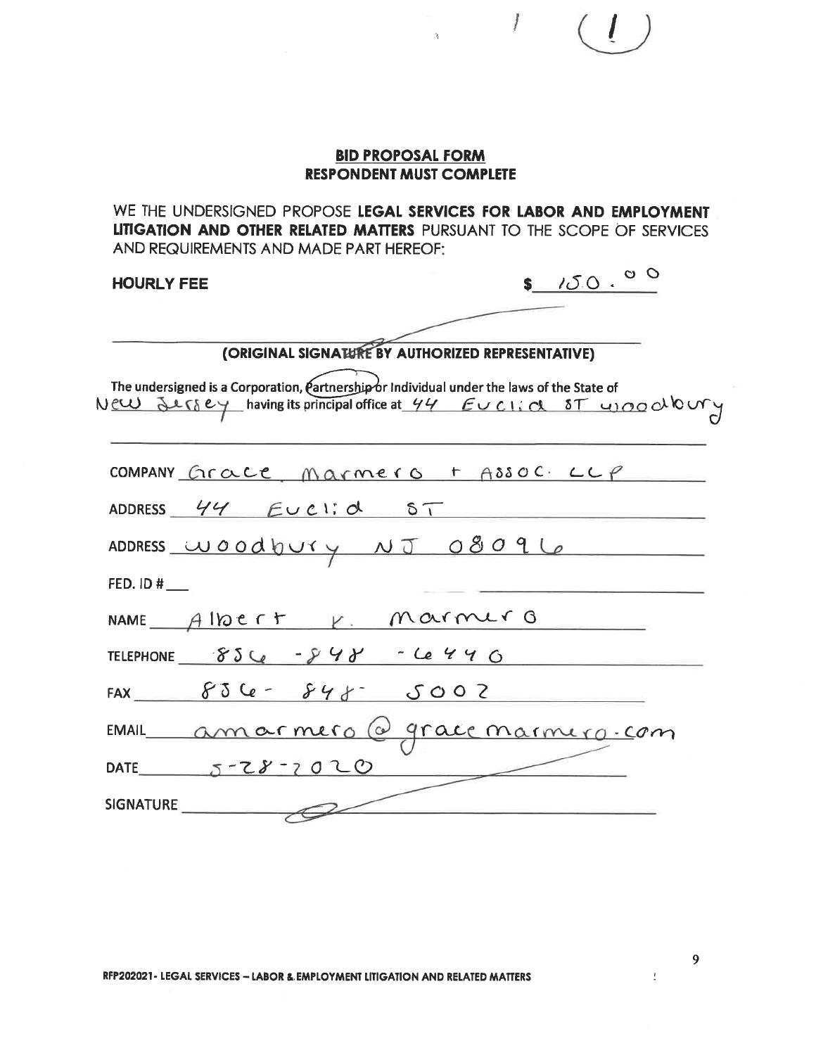|                                                                                                                                                                                                                           | <b>BID PROPOSAL FORM</b> |        |
|---------------------------------------------------------------------------------------------------------------------------------------------------------------------------------------------------------------------------|--------------------------|--------|
| <b>RESPONDENT MUST COMPLETE</b><br>WE THE UNDERSIGNED PROPOSE LEGAL SERVICES FOR LABOR AND EMPLOYMENT<br>LITIGATION AND OTHER RELATED MATTERS PURSUANT TO THE SCOPE OF SERVICES<br>AND REQUIREMENTS AND MADE PART HEREOF: |                          |        |
| <b>HOURLY FEE</b>                                                                                                                                                                                                         |                          | 150.00 |
| (ORIGINAL SIGNATURE BY AUTHORIZED REPRESENTATIVE)                                                                                                                                                                         |                          |        |
| The undersigned is a Corporation, $\ell$ artnership or Individual under the laws of the State of<br>New Jersey having its principal office at 44 EUCIIN ST wood domy                                                      |                          |        |
| COMPANY Grace Marmero + ASSOC LLP                                                                                                                                                                                         |                          |        |
| ADDRESS 44 Euclid ST                                                                                                                                                                                                      |                          |        |
| ADDRESS WOODDUYY NJ 08096                                                                                                                                                                                                 |                          |        |
| FED. ID #                                                                                                                                                                                                                 |                          |        |
| NAME Albert V. Marmer G                                                                                                                                                                                                   |                          |        |
| TELEPHONE $856 - 848 - 6496$                                                                                                                                                                                              |                          |        |
| FAX $836 - 848 - 5002$                                                                                                                                                                                                    |                          |        |
| EMAIL amarmero @ grace marmero-com                                                                                                                                                                                        |                          |        |
| DATE 5-28-2020                                                                                                                                                                                                            |                          |        |
| SIGNATURE                                                                                                                                                                                                                 |                          |        |

 $\sim$   $t$  .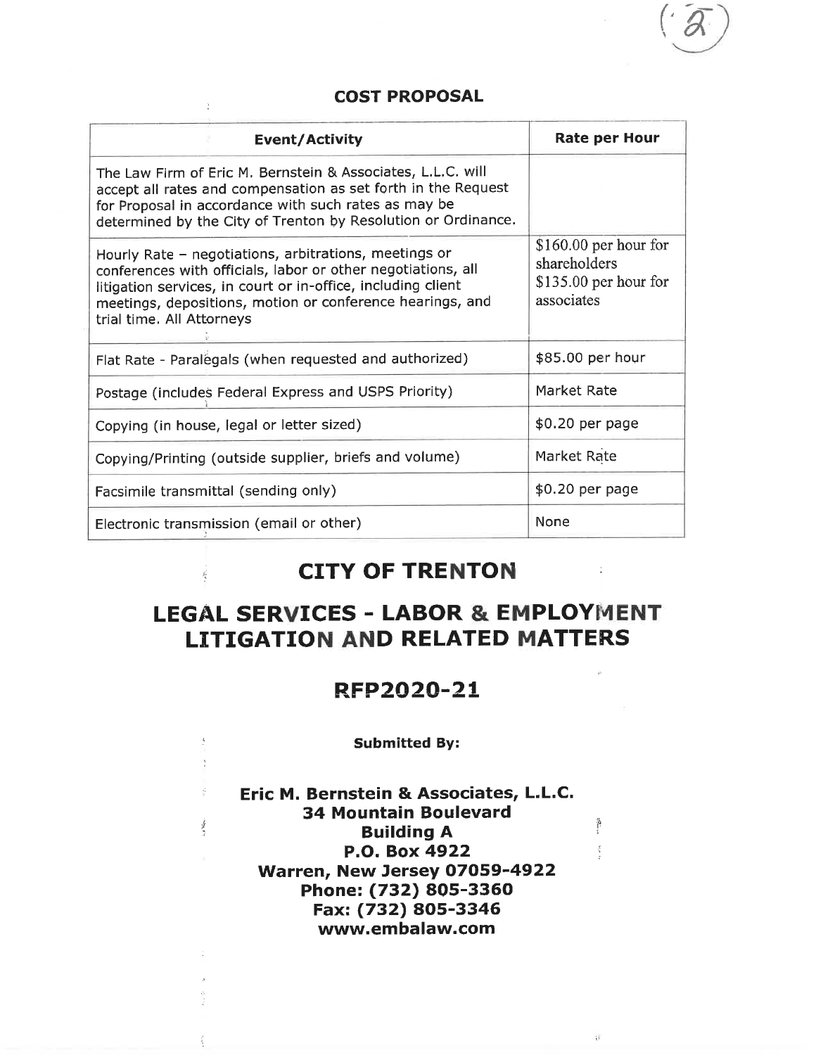## **COST PROPOSAL**

| <b>Event/Activity</b>                                                                                                                                                                                                                                                           | <b>Rate per Hour</b>                                                           |
|---------------------------------------------------------------------------------------------------------------------------------------------------------------------------------------------------------------------------------------------------------------------------------|--------------------------------------------------------------------------------|
| The Law Firm of Eric M. Bernstein & Associates, L.L.C. will<br>accept all rates and compensation as set forth in the Request<br>for Proposal in accordance with such rates as may be<br>determined by the City of Trenton by Resolution or Ordinance.                           |                                                                                |
| Hourly Rate - negotiations, arbitrations, meetings or<br>conferences with officials, labor or other negotiations, all<br>litigation services, in court or in-office, including client<br>meetings, depositions, motion or conference hearings, and<br>trial time. All Attorneys | $$160.00$ per hour for<br>shareholders<br>$$135.00$ per hour for<br>associates |
| Flat Rate - Paralegals (when requested and authorized)                                                                                                                                                                                                                          | \$85.00 per hour                                                               |
| Postage (includes Federal Express and USPS Priority)                                                                                                                                                                                                                            | Market Rate                                                                    |
| Copying (in house, legal or letter sized)                                                                                                                                                                                                                                       | \$0.20 per page                                                                |
| Copying/Printing (outside supplier, briefs and volume)                                                                                                                                                                                                                          | Market Rate                                                                    |
| Facsimile transmittal (sending only)                                                                                                                                                                                                                                            | \$0.20 per page                                                                |
| Electronic transmission (email or other)                                                                                                                                                                                                                                        | None                                                                           |

# **CITY OF TRENTON**

# **LEGAL SERVICES - LABOR & EMPLOYMENT LITIGATION AND RELATED MATTERS**

## RFP2020-21

#### **Submitted By:**

 $\frac{4}{\epsilon}$  $\gamma$ 

 $\mathbb{I}_n$  is before.

Eric M. Bernstein & Associates, L.L.C. **34 Mountain Boulevard Building A** P.O. Box 4922 Warren, New Jersey 07059-4922 Phone: (732) 805-3360 Fax: (732) 805-3346 www.embalaw.com

 $\frac{1}{2}$ 

 $\frac{1}{2}$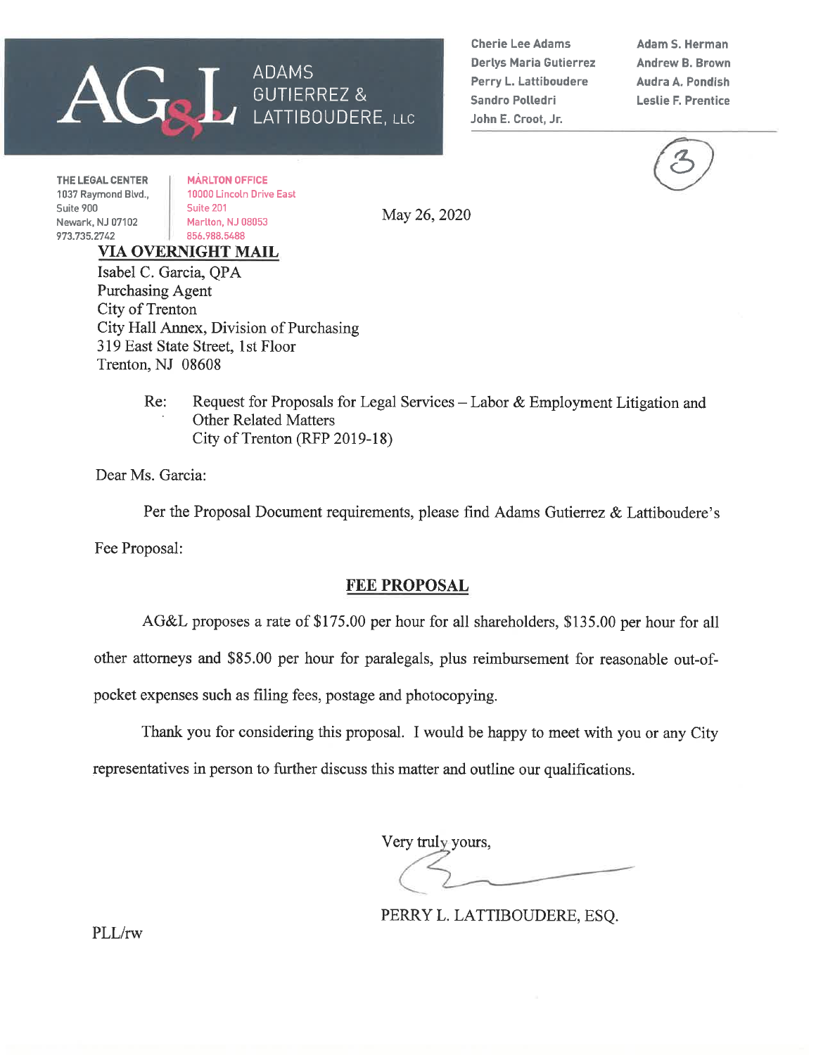# ADAMS **GUTIERREZ &** LATTIBOUDERE, LLC

**Cherie Lee Adams Derlys Maria Gutierrez** Perry L. Lattiboudere **Sandro Polledri** John E. Croot, Jr.

**Adam S. Herman Andrew B. Brown** Audra A. Pondish **Leslie F. Prentice** 

THE LEGAL CENTER 1037 Raymond Blvd., Suite 900 Newark, NJ 07102 973.735.2742

**MARLTON OFFICE** 10000 Lincoln Drive East Suite 201 Marlton, NJ 08053 856.988.5488

May 26, 2020

VIA OVERNIGHT MAIL Isabel C. Garcia, QPA **Purchasing Agent** City of Trenton City Hall Annex, Division of Purchasing 319 East State Street, 1st Floor Trenton, NJ 08608

> Re: Request for Proposals for Legal Services – Labor & Employment Litigation and **Other Related Matters** City of Trenton (RFP 2019-18)

Dear Ms. Garcia:

Per the Proposal Document requirements, please find Adams Gutierrez & Lattiboudere's Fee Proposal:

## **FEE PROPOSAL**

AG&L proposes a rate of \$175.00 per hour for all shareholders, \$135.00 per hour for all

other attorneys and \$85.00 per hour for paralegals, plus reimbursement for reasonable out-of-

pocket expenses such as filing fees, postage and photocopying.

Thank you for considering this proposal. I would be happy to meet with you or any City

representatives in person to further discuss this matter and outline our qualifications.

Very truly yours,

PERRY L. LATTIBOUDERE, ESQ.

PLL/rw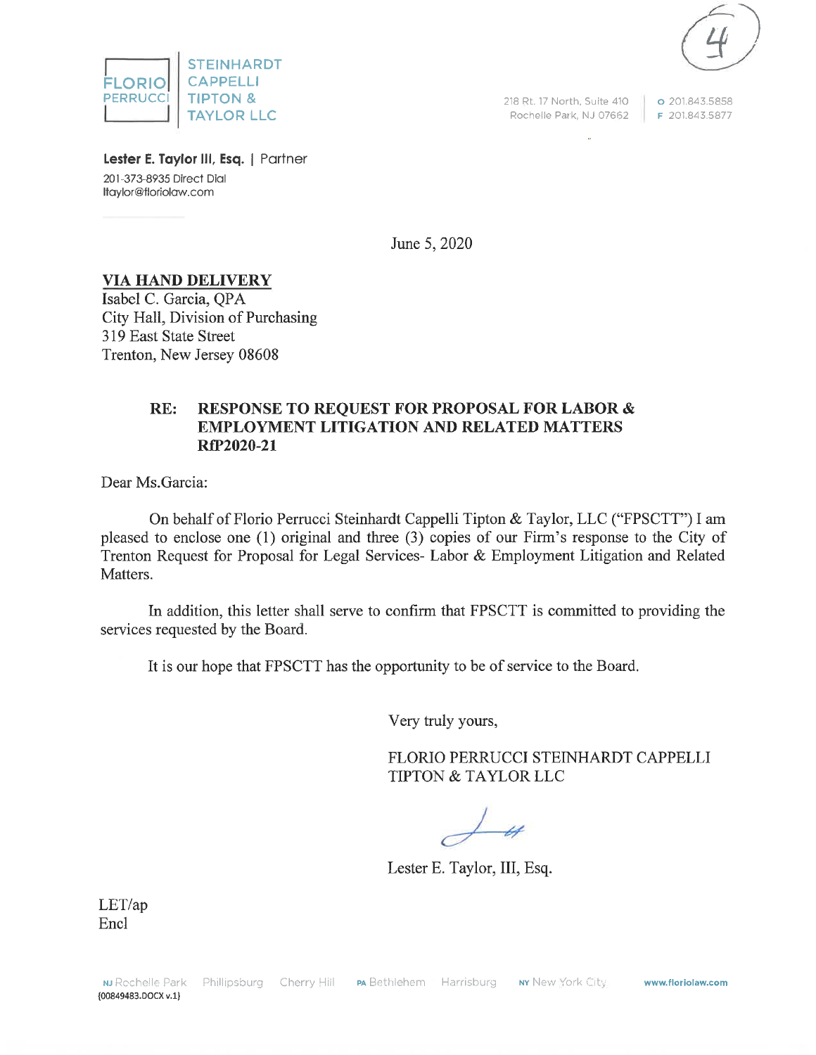



218 Rt. 17 North, Suite 410 Rochelle Park, NJ 07662

o 201.843.5858 F 201.843.5877

Lester E. Taylor III, Esq. | Partner 201-373-8935 Direct Dial Itaylor@floriolaw.com

June 5, 2020

## **VIA HAND DELIVERY**

Isabel C. Garcia, OPA City Hall, Division of Purchasing 319 East State Street Trenton, New Jersey 08608

#### **RESPONSE TO REQUEST FOR PROPOSAL FOR LABOR &**  $RE:$ **EMPLOYMENT LITIGATION AND RELATED MATTERS** RfP2020-21

Dear Ms. Garcia:

On behalf of Florio Perrucci Steinhardt Cappelli Tipton & Taylor, LLC ("FPSCTT") I am pleased to enclose one (1) original and three (3) copies of our Firm's response to the City of Trenton Request for Proposal for Legal Services- Labor & Employment Litigation and Related Matters.

In addition, this letter shall serve to confirm that FPSCTT is committed to providing the services requested by the Board.

It is our hope that FPSCTT has the opportunity to be of service to the Board.

Very truly yours,

FLORIO PERRUCCI STEINHARDT CAPPELLI **TIPTON & TAYLOR LLC** 

Lester E. Taylor, III, Esq.

 $LET(ap)$ Encl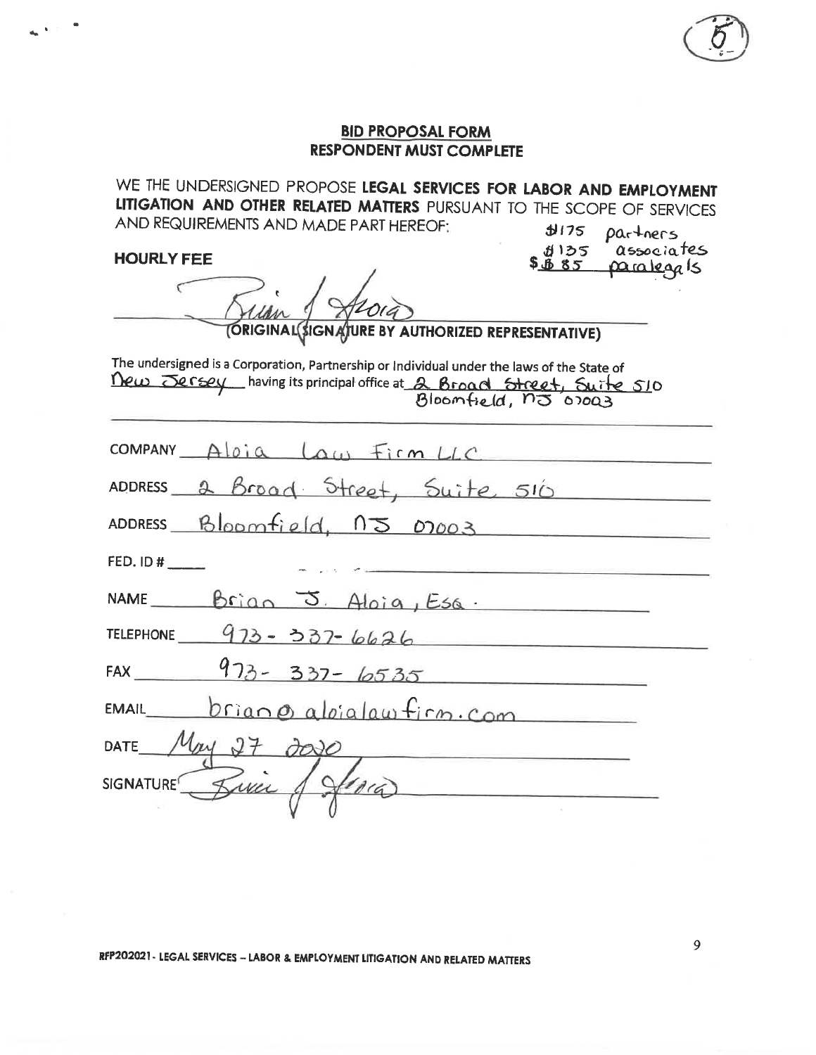WE THE UNDERSIGNED PROPOSE LEGAL SERVICES FOR LABOR AND EMPLOYMENT LITIGATION AND OTHER RELATED MATTERS PURSUANT TO THE SCOPE OF SERVICES AND REQUIREMENTS AND MADE PART HEREOF: **J175** 

**HOURLY FEE** 

partners associates かつつ <u>paralegals</u> <u> \$ \$ 85 </u>

٢ TORIGINAL(\$IGNATURE BY AUTHORIZED REPRESENTATIVE)

The undersigned is a Corporation, Partnership or Individual under the laws of the State of Dew Jersey having its principal office at 2 Broad Street, Suite 510

| COMPANY Aloia Law Firm LLC        |  |  |  |  |  |
|-----------------------------------|--|--|--|--|--|
| ADDRESS 2 Broad Street, Suite 510 |  |  |  |  |  |
| ADDRESS Bloomfield, 15 07003      |  |  |  |  |  |
|                                   |  |  |  |  |  |
| NAME Brian J. Aloia, Esa.         |  |  |  |  |  |
| TELEPHONE $973 - 337 - 6626$      |  |  |  |  |  |
| FAX $973 - 337 - 6535$            |  |  |  |  |  |
| $EMAIL$ $brian\&aloialawfirm.com$ |  |  |  |  |  |
| DATE $Myy$ $27$ $300$             |  |  |  |  |  |
| SIGNATURE Barie / Sara            |  |  |  |  |  |
|                                   |  |  |  |  |  |

RFP202021 - LEGAL SERVICES - LABOR & EMPLOYMENT LITIGATION AND RELATED MATTERS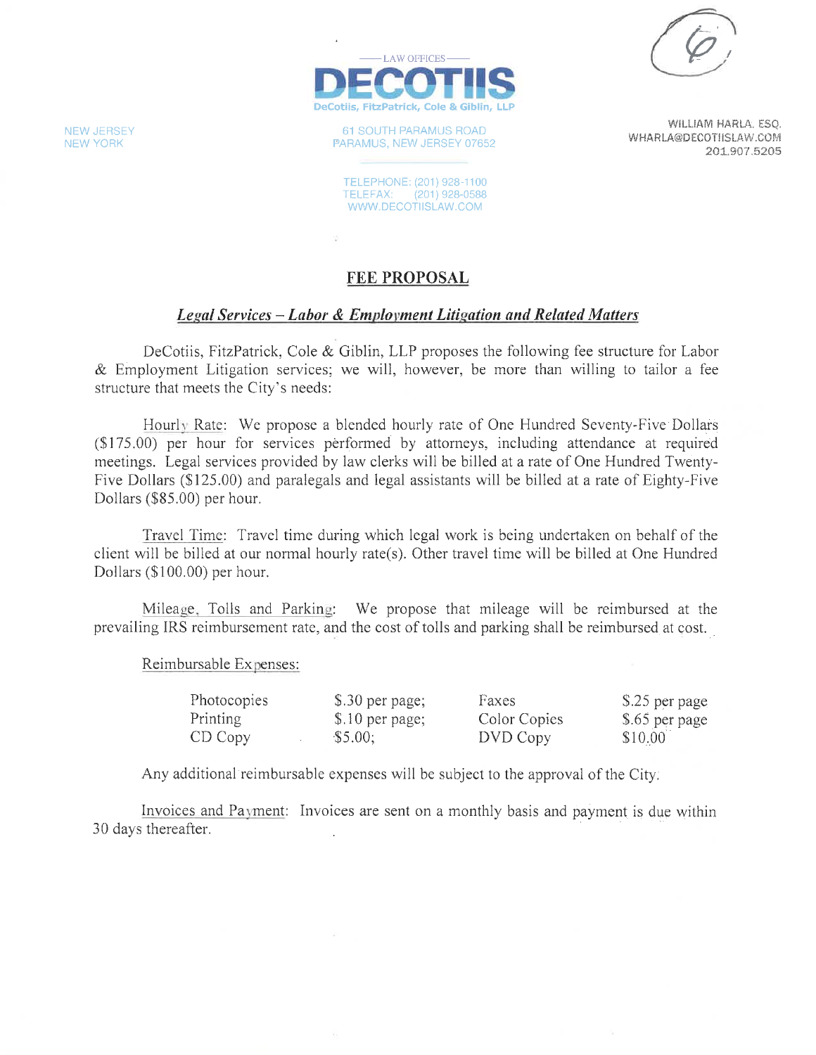

61 SOUTH PARAMUS ROAD PARAMUS, NEW JERSEY 07652

TELEPHONE: (201) 928-1100 TELEFAX: (201) 928-0588 WWW.DECOTIISLAW.COM

WILLIAM HARLA, ESO. WHARLA@DECOTIISLAW.COM 201.907.5205

## **FEE PROPOSAL**

 $\frac{1}{4}$ 

## Legal Services – Labor & Employment Litigation and Related Matters

DeCotiis, FitzPatrick, Cole & Giblin, LLP proposes the following fee structure for Labor & Employment Litigation services; we will, however, be more than willing to tailor a fee structure that meets the City's needs:

Hourly Rate: We propose a blended hourly rate of One Hundred Seventy-Five Dollars (\$175.00) per hour for services performed by attorneys, including attendance at required meetings. Legal services provided by law clerks will be billed at a rate of One Hundred Twenty-Five Dollars (\$125.00) and paralegals and legal assistants will be billed at a rate of Eighty-Five Dollars (\$85.00) per hour.

Travel Time: Travel time during which legal work is being undertaken on behalf of the client will be billed at our normal hourly rate(s). Other travel time will be billed at One Hundred Dollars (\$100.00) per hour.

Mileage, Tolls and Parking: We propose that mileage will be reimbursed at the prevailing IRS reimbursement rate, and the cost of tolls and parking shall be reimbursed at cost.

#### Reimbursable Expenses:

| Photocopies | \$.30 per page; | Faxes        | \$25 per page  |
|-------------|-----------------|--------------|----------------|
| Printing    | \$.10 per page; | Color Copies | \$.65 per page |
| CD Copy     | \$5.00;         | DVD Copy     | \$10.00        |

Any additional reimbursable expenses will be subject to the approval of the City.

Invoices and Payment: Invoices are sent on a monthly basis and payment is due within 30 days thereafter.

**NEW JERSEY NEW YORK**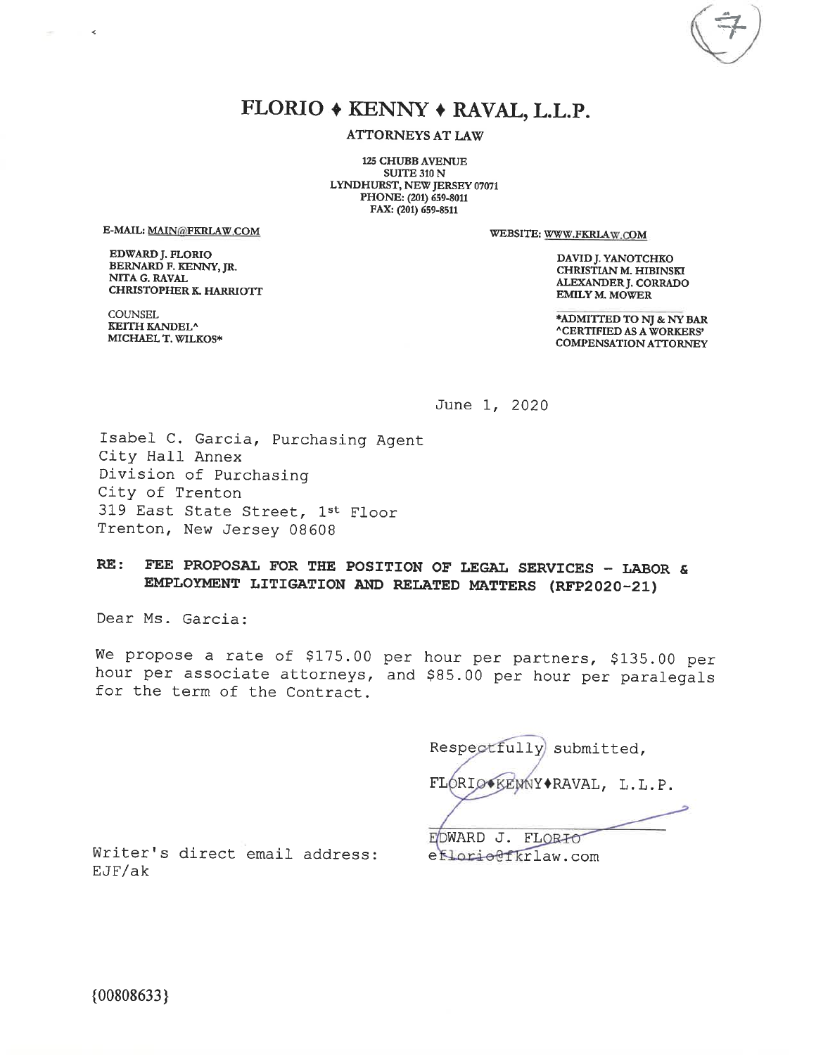# FLORIO + KENNY + RAVAL, L.L.P.

**ATTORNEYS AT LAW** 

**125 CHUBB AVENUE** SUITE 310 N LYNDHURST, NEW JERSEY 07071 PHONE: (201) 659-8011 FAX: (201) 659-8511

E-MAIL: MAIN@FKRLAW.COM

 $\prec$ 

EDWARD J. FLORIO BERNARD F. KENNY, JR. NITA G. RAVAL **CHRISTOPHER K. HARRIOTT** 

**COUNSEL KEITH KANDEL^** MICHAEL T. WILKOS\* WEBSITE: WWW.FKRLAW.COM

DAVID J. YANOTCHKO CHRISTIAN M. HIBINSKI ALEXANDER J. CORRADO **EMILY M. MOWER** 

\*ADMITTED TO NJ & NY BAR **ACERTIFIED AS A WORKERS' COMPENSATION ATTORNEY** 

June 1, 2020

Isabel C. Garcia, Purchasing Agent City Hall Annex Division of Purchasing City of Trenton 319 East State Street, 1st Floor Trenton, New Jersey 08608

#### $RE:$ FEE PROPOSAL FOR THE POSITION OF LEGAL SERVICES - LABOR & EMPLOYMENT LITIGATION AND RELATED MATTERS (RFP2020-21)

Dear Ms. Garcia:

We propose a rate of \$175.00 per hour per partners, \$135.00 per hour per associate attorneys, and \$85.00 per hour per paralegals for the term of the Contract.

Respectfully submitted, FLORIO KENNY \* RAVAL, L.L.P.

Writer's direct email address:  $EJF/ak$ 

EDWARD J. FLORIO efloriettkrlaw.com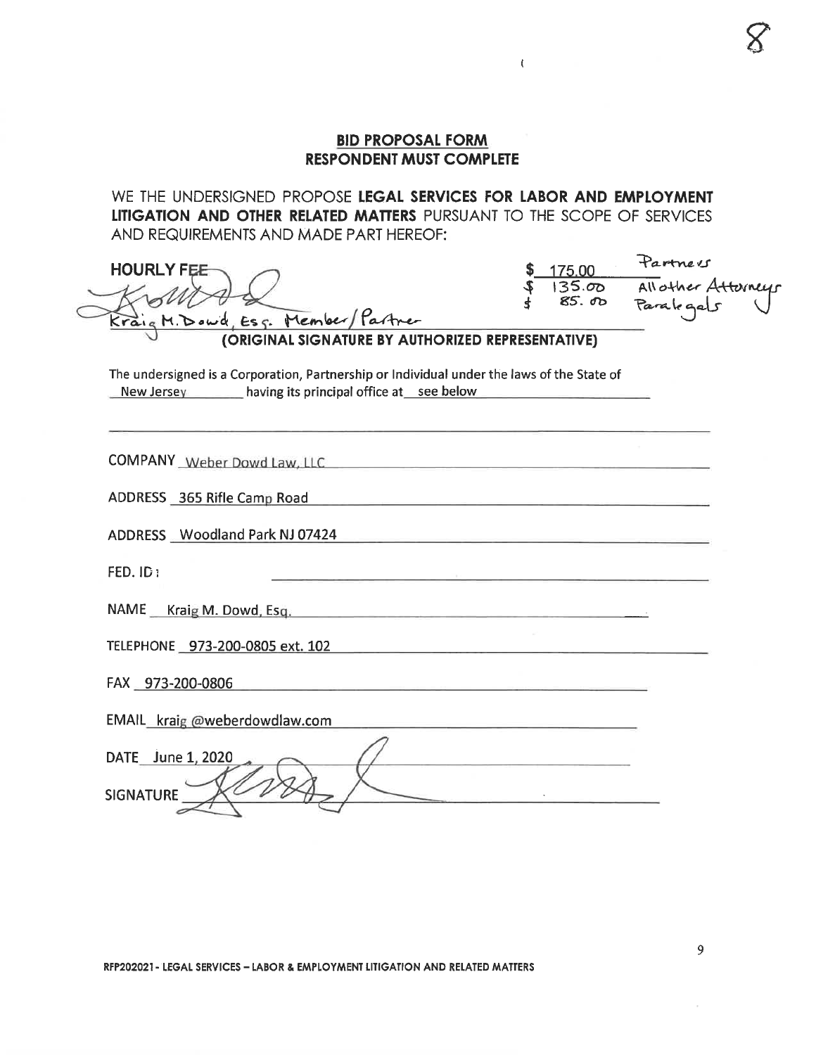$\left($ 

WE THE UNDERSIGNED PROPOSE LEGAL SERVICES FOR LABOR AND EMPLOYMENT LITIGATION AND OTHER RELATED MATTERS PURSUANT TO THE SCOPE OF SERVICES AND REQUIREMENTS AND MADE PART HEREOF:

| <b>HOURLY FEE</b><br>Kraig M. Dowd, Ess. Member/Partner<br>(ORIGINAL SIGNATURE BY AUTHORIZED REPRESENTATIVE)                                                                           |  | Partners<br>175.00 Turner<br>135.00 Allother Atterneys<br>85.00 Paralogals |
|----------------------------------------------------------------------------------------------------------------------------------------------------------------------------------------|--|----------------------------------------------------------------------------|
| The undersigned is a Corporation, Partnership or Individual under the laws of the State of<br>New Jersey having its principal office at see below                                      |  |                                                                            |
|                                                                                                                                                                                        |  |                                                                            |
| ADDRESS 365 Rifle Camp Road<br>ADDRESS Woodland Park NJ 07424<br><u> Salam Salam Salam Salam Salam Salam Salam Salam Salam Salam Salam Salam Salam Salam Salam Salam Salam Salam S</u> |  |                                                                            |
| FED. ID:<br>NAME Kraig M. Dowd, Esq.                                                                                                                                                   |  |                                                                            |
| FAX 973-200-0806<br><u> 1980 - Jan Barnett, mars et al. 1980 - Ann an Island ann an t-</u>                                                                                             |  |                                                                            |
| EMAIL kraig @weberdowdlaw.com<br>DATE June 1, 2020<br><b>SIGNATURE</b>                                                                                                                 |  |                                                                            |

9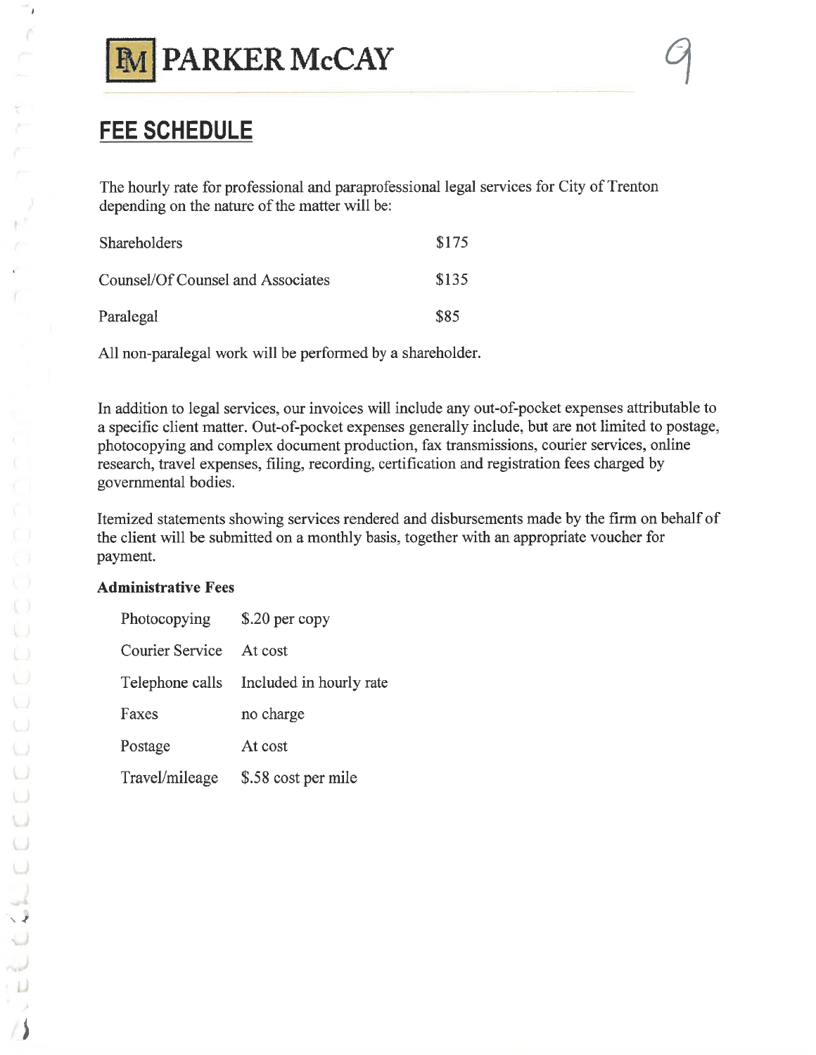

# **FEE SCHEDULE**

The hourly rate for professional and paraprofessional legal services for City of Trenton depending on the nature of the matter will be:

| <b>Shareholders</b>               | \$175 |
|-----------------------------------|-------|
| Counsel/Of Counsel and Associates | \$135 |
| Paralegal                         | \$85  |

All non-paralegal work will be performed by a shareholder.

In addition to legal services, our invoices will include any out-of-pocket expenses attributable to a specific client matter. Out-of-pocket expenses generally include, but are not limited to postage, photocopying and complex document production, fax transmissions, courier services, online research, travel expenses, filing, recording, certification and registration fees charged by governmental bodies.

Itemized statements showing services rendered and disbursements made by the firm on behalf of the client will be submitted on a monthly basis, together with an appropriate voucher for payment.

## **Administrative Fees**

| Photocopying           | $$.20$ per copy                         |  |  |  |
|------------------------|-----------------------------------------|--|--|--|
| <b>Courier Service</b> | At cost                                 |  |  |  |
|                        | Telephone calls Included in hourly rate |  |  |  |
| Faxes                  | no charge                               |  |  |  |
| Postage                | At cost                                 |  |  |  |
| Travel/mileage         | \$.58 cost per mile                     |  |  |  |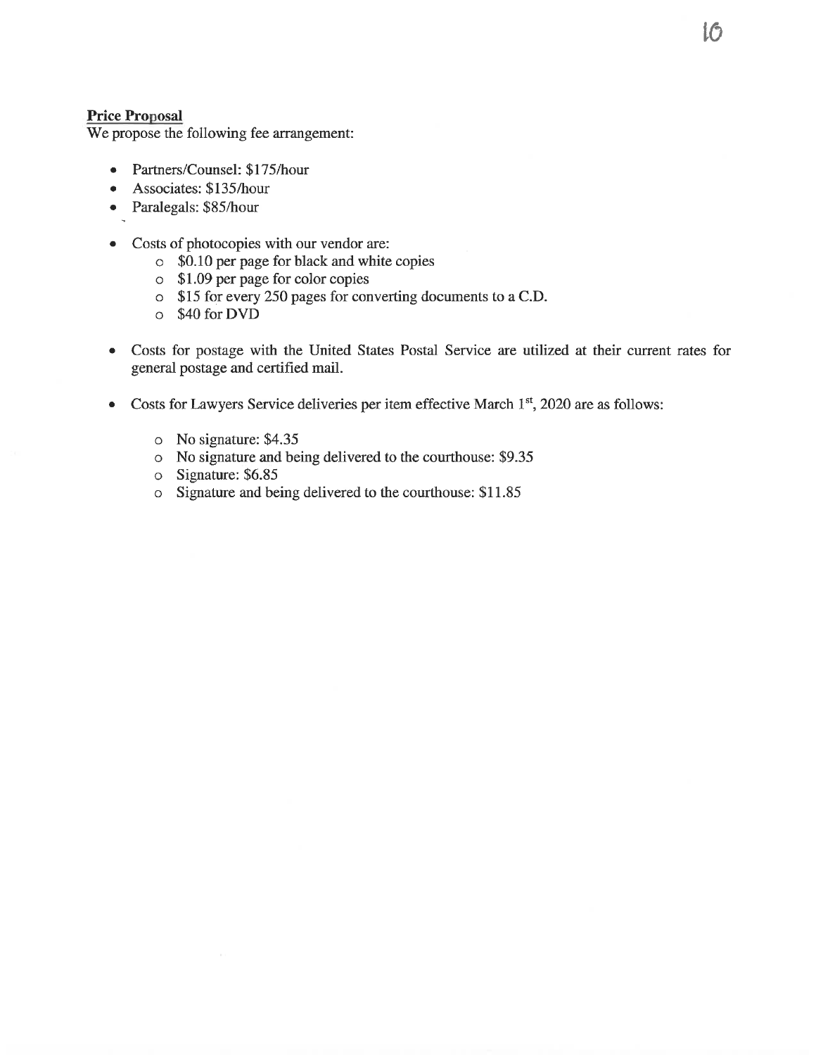#### **Price Proposal**

We propose the following fee arrangement:

- Partners/Counsel: \$175/hour  $\bullet$
- Associates: \$135/hour
- Paralegals: \$85/hour
- Costs of photocopies with our vendor are:  $\bullet$ 
	- o \$0.10 per page for black and white copies
	- $\circ$  \$1.09 per page for color copies
	- o \$15 for every 250 pages for converting documents to a C.D.
	- $\circ$  \$40 for DVD
- Costs for postage with the United States Postal Service are utilized at their current rates for  $\bullet$ general postage and certified mail.
- Costs for Lawyers Service deliveries per item effective March 1<sup>st</sup>, 2020 are as follows:  $\bullet$ 
	- o No signature: \$4.35
	- o No signature and being delivered to the courthouse: \$9.35
	- o Signature: \$6.85
	- o Signature and being delivered to the courthouse: \$11.85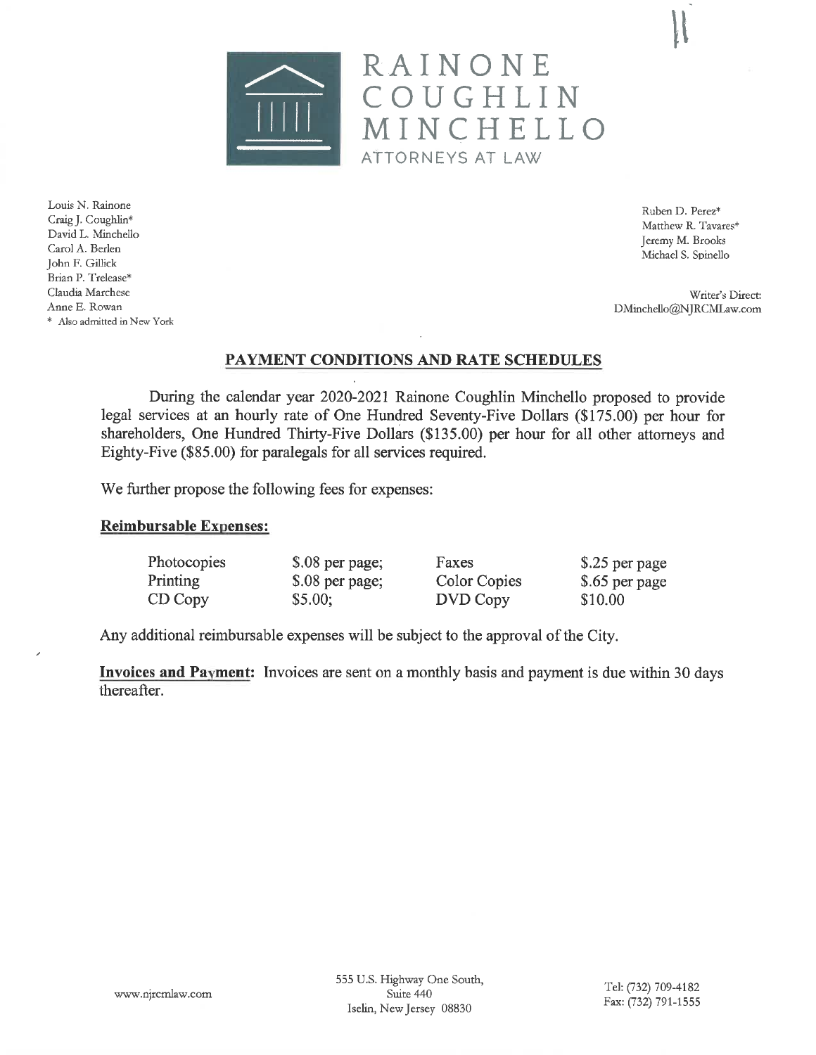

Louis N. Rainone Craig J. Coughlin\* David L. Minchello Carol A. Berlen John F. Gillick Brian P. Trelease\* Claudia Marchese Anne E. Rowan \* Also admitted in New York

Ruben D. Perez\* Matthew R. Tavares\* Jeremy M. Brooks Michael S. Spinello

Writer's Direct: DMinchello@NJRCMLaw.com

## PAYMENT CONDITIONS AND RATE SCHEDULES

RAINONE

ATTORNEYS AT LAW

COUGHLIN

MINCHELLO

During the calendar year 2020-2021 Rainone Coughlin Minchello proposed to provide legal services at an hourly rate of One Hundred Seventy-Five Dollars (\$175.00) per hour for shareholders, One Hundred Thirty-Five Dollars (\$135.00) per hour for all other attorneys and Eighty-Five (\$85.00) for paralegals for all services required.

We further propose the following fees for expenses:

#### **Reimbursable Expenses:**

| Photocopies | \$.08 per page; | Faxes               | \$.25 per page |
|-------------|-----------------|---------------------|----------------|
| Printing    | \$.08 per page; | <b>Color Copies</b> | \$.65 per page |
| CD Copy     | \$5.00;         | DVD Copy            | \$10.00        |

Any additional reimbursable expenses will be subject to the approval of the City.

**Invoices and Payment:** Invoices are sent on a monthly basis and payment is due within 30 days thereafter.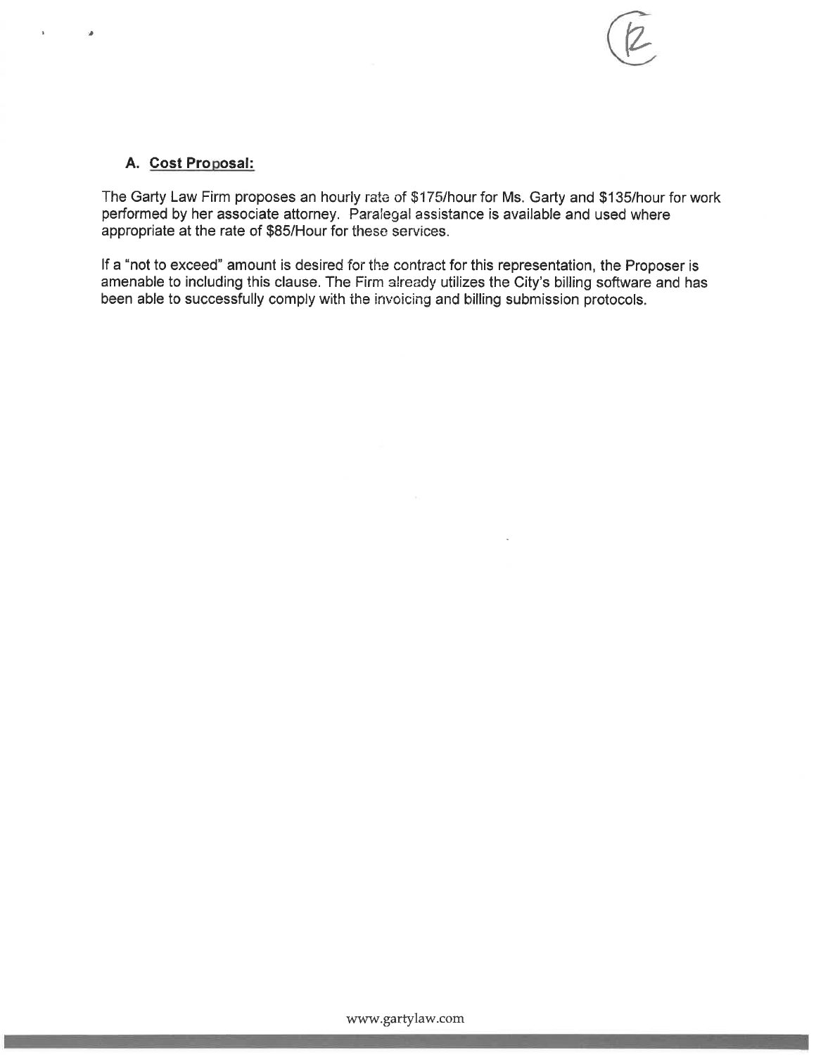

#### A. Cost Proposal:

The Garty Law Firm proposes an hourly rate of \$175/hour for Ms. Garty and \$135/hour for work performed by her associate attorney. Paralegal assistance is available and used where appropriate at the rate of \$85/Hour for these services.

If a "not to exceed" amount is desired for the contract for this representation, the Proposer is amenable to including this clause. The Firm already utilizes the City's billing software and has been able to successfully comply with the invoicing and billing submission protocols.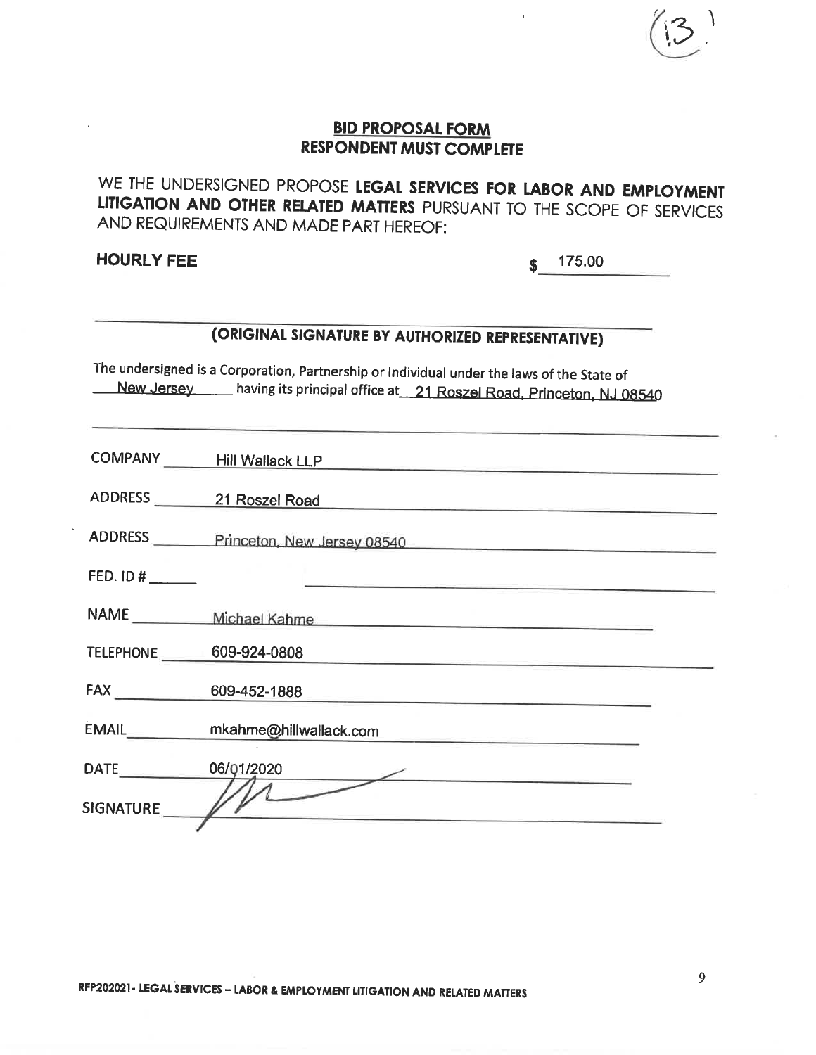WE THE UNDERSIGNED PROPOSE LEGAL SERVICES FOR LABOR AND EMPLOYMENT LITIGATION AND OTHER RELATED MATTERS PURSUANT TO THE SCOPE OF SERVICES AND REQUIREMENTS AND MADE PART HEREOF:

**HOURLY FEE** 

175.00 S

# (ORIGINAL SIGNATURE BY AUTHORIZED REPRESENTATIVE)

The undersigned is a Corporation, Partnership or Individual under the laws of the State of New Jersey having its principal office at 21 Roszel Road, Princeton, NJ 08540

|                        | COMPANY Hill Wallack LLP            |
|------------------------|-------------------------------------|
|                        | ADDRESS 21 Roszel Road              |
|                        | ADDRESS Princeton, New Jersey 08540 |
| FED. ID #              |                                     |
|                        |                                     |
| TELEPHONE 609-924-0808 |                                     |
| FAX <b>EXECUTE:</b>    |                                     |
| <b>EMAIL</b>           | mkahme@hillwallack.com              |
| DATE <b>DATE</b>       | 06/01/2020                          |
| SIGNATURE //           |                                     |
|                        |                                     |

9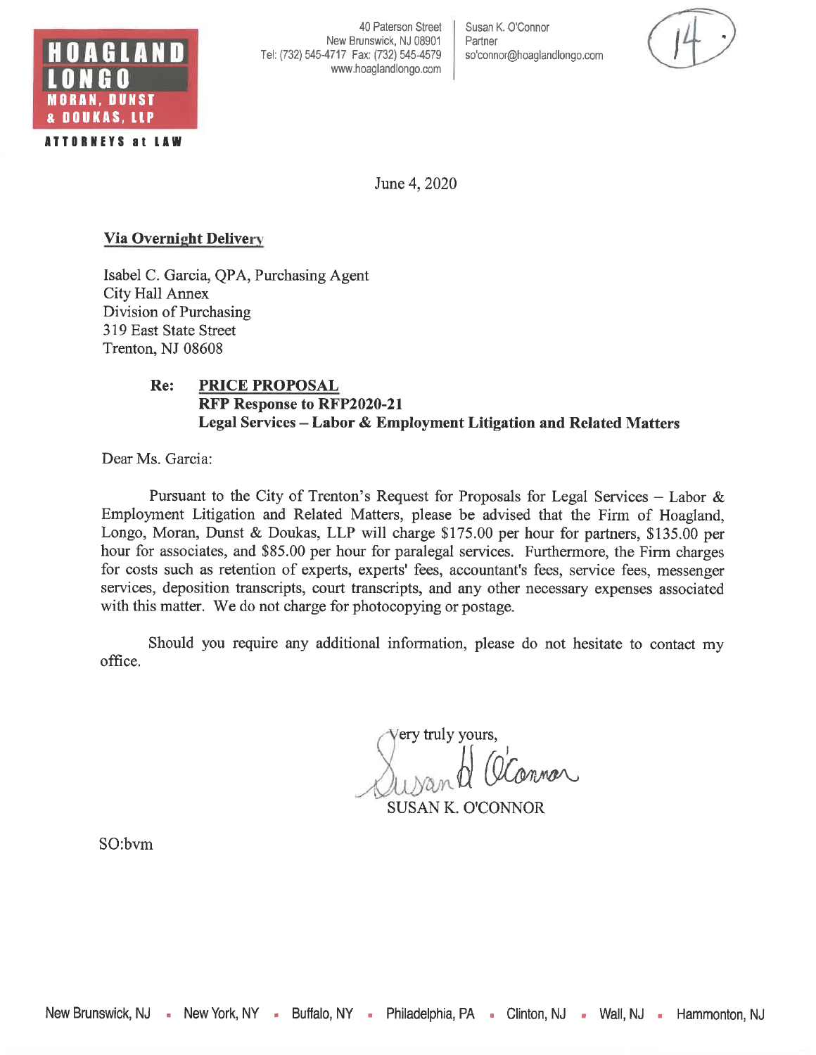

40 Paterson Street New Brunswick, NJ 08901 Tel: (732) 545-4717 Fax: (732) 545-4579 www.hoaglandlongo.com Susan K. O'Connor Partner so'connor@hoaglandlongo.com

June 4, 2020

#### **Via Overnight Delivery**

Isabel C. Garcia, QPA, Purchasing Agent City Hall Annex Division of Purchasing 319 East State Street Trenton, NJ 08608

#### Re: **PRICE PROPOSAL RFP Response to RFP2020-21** Legal Services - Labor & Employment Litigation and Related Matters

Dear Ms. Garcia:

Pursuant to the City of Trenton's Request for Proposals for Legal Services – Labor & Employment Litigation and Related Matters, please be advised that the Firm of Hoagland, Longo, Moran, Dunst & Doukas, LLP will charge \$175.00 per hour for partners, \$135.00 per hour for associates, and \$85.00 per hour for paralegal services. Furthermore, the Firm charges for costs such as retention of experts, experts' fees, accountant's fees, service fees, messenger services, deposition transcripts, court transcripts, and any other necessary expenses associated with this matter. We do not charge for photocopying or postage.

Should you require any additional information, please do not hesitate to contact my office.

ery truly yours, **SUSAN K. O'CONNOR** 

SO:bvm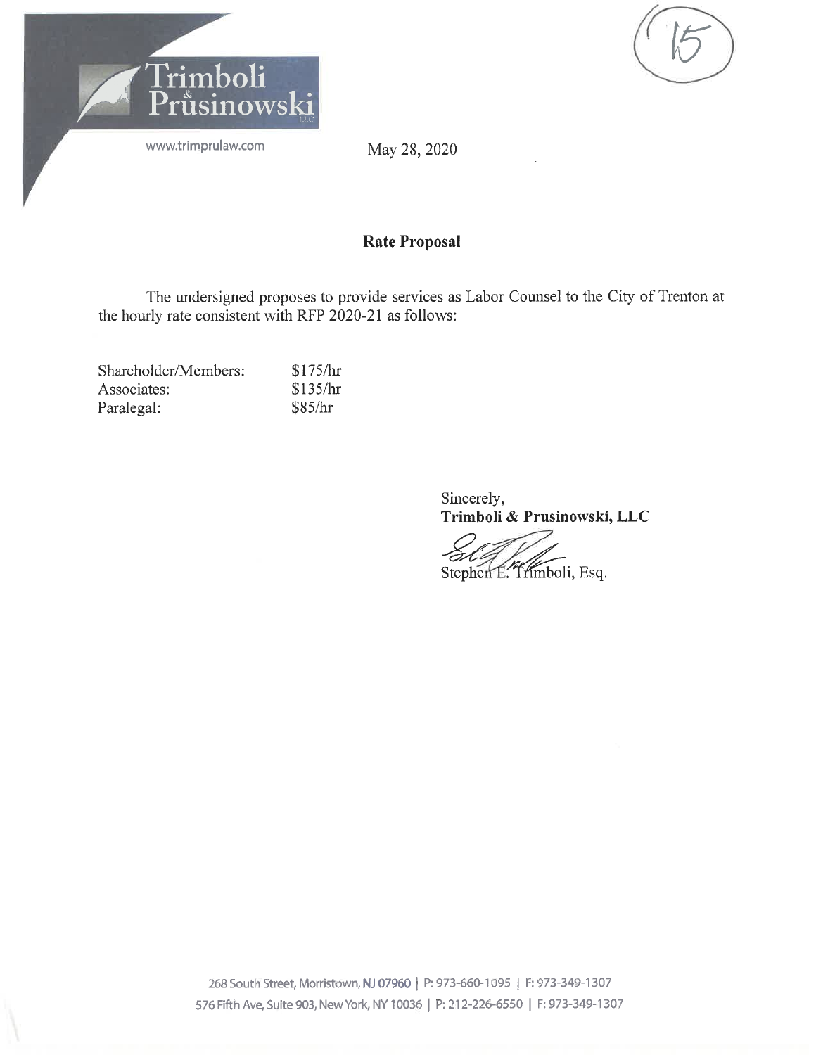

May 28, 2020

## **Rate Proposal**

The undersigned proposes to provide services as Labor Counsel to the City of Trenton at the hourly rate consistent with RFP 2020-21 as follows:

| Shareholder/Members: | \$175/hr |
|----------------------|----------|
| Associates:          | \$135/hr |
| Paralegal:           | \$85/hr  |

Sincerely, Trimboli & Prusinowski, LLC

Stephen E. Trimboli, Esq.

268 South Street, Morristown, NJ 07960 | P: 973-660-1095 | F: 973-349-1307 576 Fifth Ave, Suite 903, New York, NY 10036 | P: 212-226-6550 | F: 973-349-1307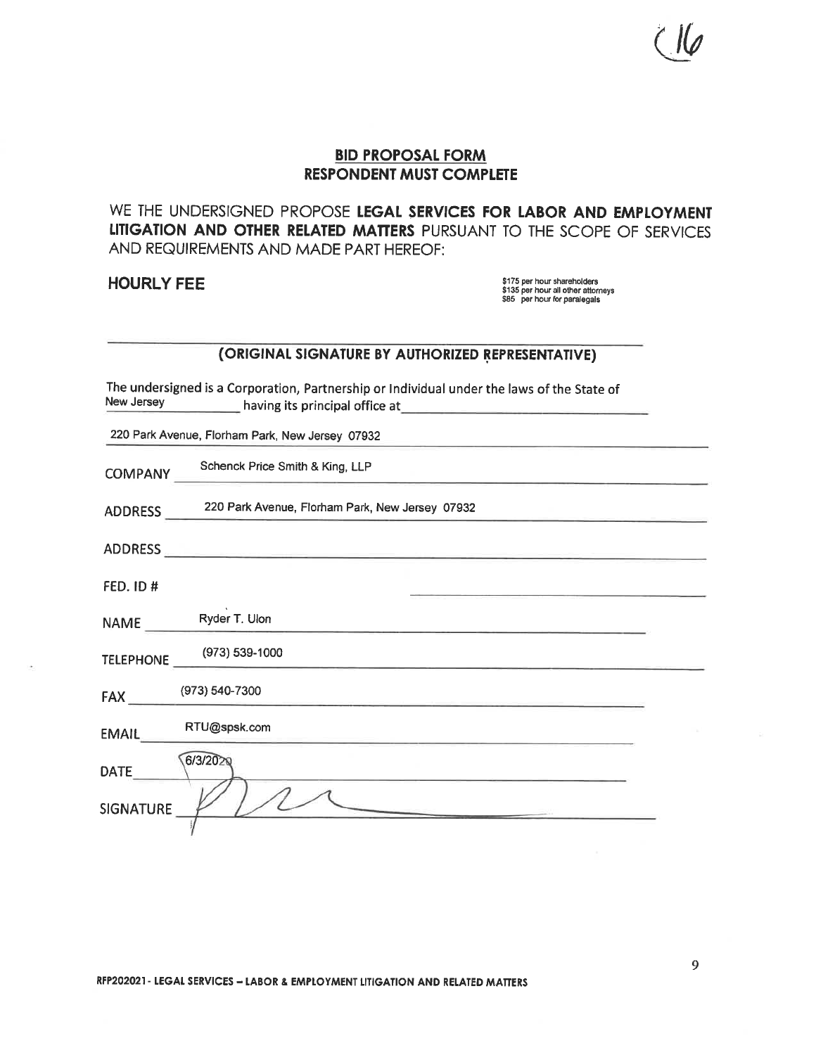WE THE UNDERSIGNED PROPOSE LEGAL SERVICES FOR LABOR AND EMPLOYMENT LITIGATION AND OTHER RELATED MATTERS PURSUANT TO THE SCOPE OF SERVICES AND REQUIREMENTS AND MADE PART HEREOF:

**HOURLY FEE** 

\$175 per hour shareholders \$135 per hour all other attorneys \$85 per hour for paralegals

#### (ORIGINAL SIGNATURE BY AUTHORIZED REPRESENTATIVE)

The undersigned is a Corporation, Partnership or Individual under the laws of the State of New Jersey having its principal office at

220 Park Avenue, Florham Park, New Jersey 07932

Schenck Price Smith & King, LLP **COMPANY** 

220 Park Avenue, Florham Park, New Jersey 07932 **ADDRESS** 

ADDRESS

FED. ID #

Ryder T. Ulon NAME

(973) 539-1000 **TELEPHONE** 

RTU@spsk.com **EMAIL** 

| <b>DATE</b> | 6/3/2020 |  |
|-------------|----------|--|
| SIGNATURE   |          |  |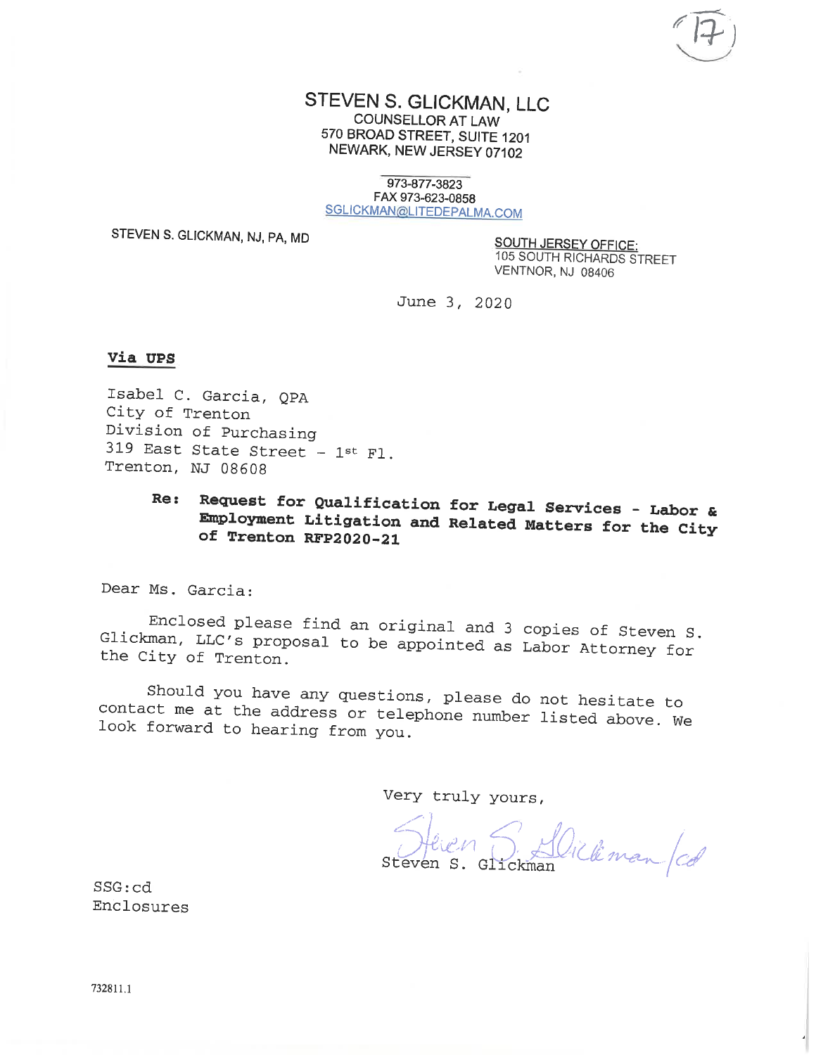#### STEVEN S. GLICKMAN, LLC **COUNSELLOR AT LAW** 570 BROAD STREET, SUITE 1201 NEWARK, NEW JERSEY 07102

973-877-3823 FAX 973-623-0858 SGLICKMAN@LITEDEPALMA.COM

STEVEN S. GLICKMAN, NJ, PA, MD

**SOUTH JERSEY OFFICE:** 105 SOUTH RICHARDS STREET VENTNOR, NJ 08406

June 3, 2020

#### Via UPS

Isabel C. Garcia, QPA City of Trenton Division of Purchasing 319 East State Street - 1st F1. Trenton, NJ 08608

#### Request for Qualification for Legal Services - Labor & Re: Employment Litigation and Related Matters for the City of Trenton RFP2020-21

Dear Ms. Garcia:

Enclosed please find an original and 3 copies of Steven S. Glickman, LLC's proposal to be appointed as Labor Attorney for the City of Trenton.

Should you have any questions, please do not hesitate to contact me at the address or telephone number listed above. We look forward to hearing from you.

Very truly yours,

S. Dickman /cd Steven S. Glickman

 $SSG:cd$ Enclosures

732811.1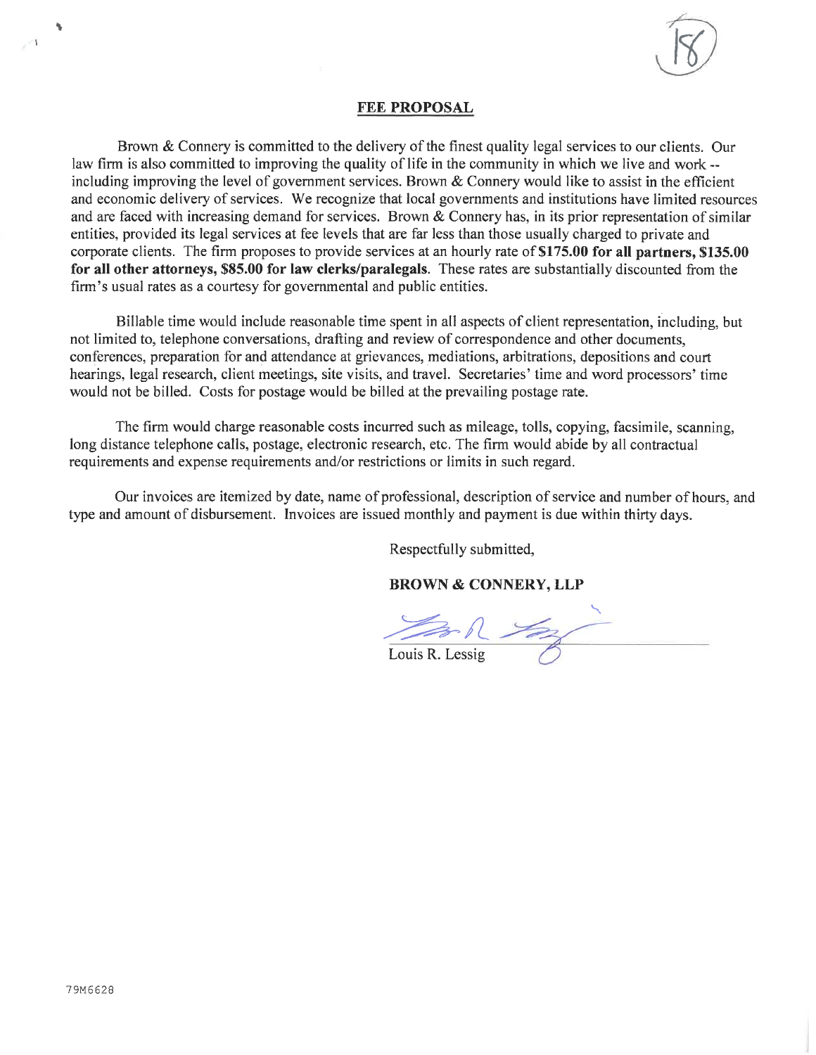

#### **FEE PROPOSAL**

Brown & Connery is committed to the delivery of the finest quality legal services to our clients. Our law firm is also committed to improving the quality of life in the community in which we live and work -including improving the level of government services. Brown  $&$  Connery would like to assist in the efficient and economic delivery of services. We recognize that local governments and institutions have limited resources and are faced with increasing demand for services. Brown & Connery has, in its prior representation of similar entities, provided its legal services at fee levels that are far less than those usually charged to private and corporate clients. The firm proposes to provide services at an hourly rate of \$175.00 for all partners. \$135.00 for all other attorneys, \$85.00 for law clerks/paralegals. These rates are substantially discounted from the firm's usual rates as a courtesy for governmental and public entities.

Billable time would include reasonable time spent in all aspects of client representation, including, but not limited to, telephone conversations, drafting and review of correspondence and other documents, conferences, preparation for and attendance at grievances, mediations, arbitrations, depositions and court hearings, legal research, client meetings, site visits, and travel. Secretaries' time and word processors' time would not be billed. Costs for postage would be billed at the prevailing postage rate.

The firm would charge reasonable costs incurred such as mileage, tolls, copying, facsimile, scanning, long distance telephone calls, postage, electronic research, etc. The firm would abide by all contractual requirements and expense requirements and/or restrictions or limits in such regard.

Our invoices are itemized by date, name of professional, description of service and number of hours, and type and amount of disbursement. Invoices are issued monthly and payment is due within thirty days.

Respectfully submitted,

**BROWN & CONNERY, LLP** 

 $\implies N$ Louis R. Lessig

 $\mathcal{F}^{\mathcal{A}}$